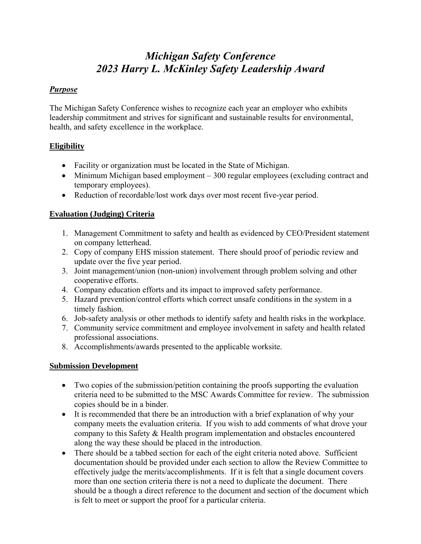# *Michigan Safety Conference 2023 Harry L. McKinley Safety Leadership Award*

#### *Purpose*

The Michigan Safety Conference wishes to recognize each year an employer who exhibits leadership commitment and strives for significant and sustainable results for environmental, health, and safety excellence in the workplace.

## **Eligibility**

- Facility or organization must be located in the State of Michigan.
- Minimum Michigan based employment 300 regular employees (excluding contract and temporary employees).
- Reduction of recordable/lost work days over most recent five-year period.

## **Evaluation (Judging) Criteria**

- 1. Management Commitment to safety and health as evidenced by CEO/President statement on company letterhead.
- 2. Copy of company EHS mission statement. There should proof of periodic review and update over the five year period.
- 3. Joint management/union (non-union) involvement through problem solving and other cooperative efforts.
- 4. Company education efforts and its impact to improved safety performance.
- 5. Hazard prevention/control efforts which correct unsafe conditions in the system in a timely fashion.
- 6. Job-safety analysis or other methods to identify safety and health risks in the workplace.
- 7. Community service commitment and employee involvement in safety and health related professional associations.
- 8. Accomplishments/awards presented to the applicable worksite.

## **Submission Development**

- Two copies of the submission/petition containing the proofs supporting the evaluation criteria need to be submitted to the MSC Awards Committee for review. The submission copies should be in a binder.
- It is recommended that there be an introduction with a brief explanation of why your company meets the evaluation criteria. If you wish to add comments of what drove your company to this Safety & Health program implementation and obstacles encountered along the way these should be placed in the introduction.
- There should be a tabbed section for each of the eight criteria noted above. Sufficient documentation should be provided under each section to allow the Review Committee to effectively judge the merits/accomplishments. If it is felt that a single document covers more than one section criteria there is not a need to duplicate the document. There should be a though a direct reference to the document and section of the document which is felt to meet or support the proof for a particular criteria.